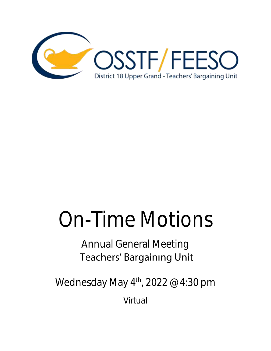

# On-Time Motions

# Annual General Meeting **Teachers' Bargaining Unit**

Wednesday May  $4^{\text{th}}$ , 2022 @ 4:30 pm

Virtual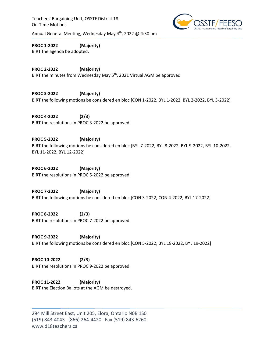Teachers' Bargaining Unit, OSSTF District 18 On-Time Motions



Annual General Meeting, Wednesday May 4<sup>th</sup>, 2022 @ 4:30 pm

**PROC 1‐2022 (Majority)** BIRT the agenda be adopted.

**PROC 2‐2022 (Majority)** BIRT the minutes from Wednesday May 5<sup>th</sup>, 2021 Virtual AGM be approved.

**PROC 3-2022 (Majority)**  BIRT the following motions be considered en bloc [CON 1-2022, BYL 1-2022, BYL 2-2022, BYL 3-2022]

**PROC 4-2022 (2/3)** BIRT the resolutions in PROC 3-2022 be approved.

**PROC 5-2022 (Majority)**  BIRT the following motions be considered en bloc [BYL 7-2022, BYL 8-2022, BYL 9-2022, BYL 10-2022, BYL 11-2022, BYL 12-2022]

**PROC 6-2022 (Majority)** BIRT the resolutions in PROC 5-2022 be approved.

**PROC 7-2022 (Majority)**  BIRT the following motions be considered en bloc [CON 3-2022, CON 4-2022, BYL 17-2022]

**PROC 8-2022 (2/3)** BIRT the resolutions in PROC 7-2022 be approved.

**PROC 9-2022 (Majority)**  BIRT the following motions be considered en bloc [CON 5-2022, BYL 18-2022, BYL 19-2022]

**PROC 10-2022 (2/3)** BIRT the resolutions in PROC 9-2022 be approved.

**PROC 11‐2022 (Majority)** BIRT the Election Ballots at the AGM be destroyed.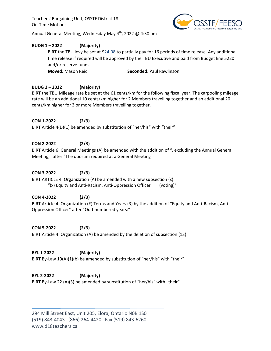Teachers' Bargaining Unit, OSSTF District 18 On-Time Motions



Annual General Meeting, Wednesday May  $4^{th}$ , 2022 @ 4:30 pm

# **BUDG 1 – 2022 (Majority)**

BIRT the TBU levy be set at \$24.08 to partially pay for 16 periods of time release. Any additional time release if required will be approved by the TBU Executive and paid from Budget line 5220 and/or reserve funds. **Moved:** Mason Reid **Seconded:** Paul Rawlinson

# **BUDG 2 – 2022 (Majority)**

BIRT the TBU Mileage rate be set at the 61 cents/km for the following fiscal year. The carpooling mileage rate will be an additional 10 cents/km higher for 2 Members travelling together and an additional 20 cents/km higher for 3 or more Members travelling together.

# **CON 1-2022 (2/3)**

BIRT Article 4(D)(1) be amended by substitution of "her/his" with "their"

# **CON 2-2022 (2/3)**

BIRT Article 6: General Meetings (A) be amended with the addition of ", excluding the Annual General Meeting," after "The quorum required at a General Meeting"

# **CON 3-2022 (2/3)**

BIRT ARTICLE 4: Organization (A) be amended with a new subsection (x) "(x) Equity and Anti-Racism, Anti-Oppression Officer (voting)"

# **CON 4-2022 (2/3)**

BIRT Article 4: Organization (E) Terms and Years (3) by the addition of "Equity and Anti-Racism, Anti-Oppression Officer" after "Odd-numbered years:"

**CON 5-2022 (2/3)**  BIRT Article 4: Organization (A) be amended by the deletion of subsection (13)

**BYL 1-2022 (Majority)**  BIRT By-Law 19(A)(1)(b) be amended by substitution of "her/his" with "their"

**BYL 2-2022 (Majority)**  BIRT By-Law 22 (A)(3) be amended by substitution of "her/his" with "their"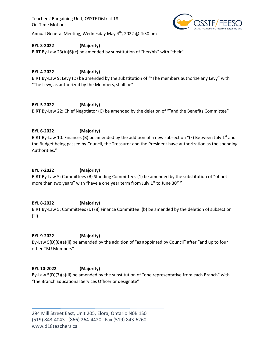Teachers' Bargaining Unit, OSSTF District 18 On-Time Motions



Annual General Meeting, Wednesday May  $4^{th}$ , 2022 @ 4:30 pm

# **BYL 3-2022 (Majority)**

BIRT By-Law 23(A)(6)(c) be amended by substitution of "her/his" with "their"

# **BYL 4-2022 (Majority)**

BIRT By-Law 9: Levy (D) be amended by the substitution of ""The members authorize any Levy" with "The Levy, as authorized by the Members, shall be"

**BYL 5-2022 (Majority)**  BIRT By-Law 22: Chief Negotiator (C) be amended by the deletion of ""and the Benefits Committee"

#### **BYL 6-2022 (Majority)**

BIRT By-Law 10: Finances (B) be amended by the addition of a new subsection "(x) Between July 1<sup>st</sup> and the Budget being passed by Council, the Treasurer and the President have authorization as the spending Authorities."

#### **BYL 7-2022 (Majority)**

BIRT By-Law 5: Committees (B) Standing Committees (1) be amended by the substitution of "of not more than two years" with "have a one year term from July 1st to June 30<sup>th</sup>"

#### **BYL 8-2022 (Majority)**

BIRT By-Law 5: Committees (D) (8) Finance Committee: (b) be amended by the deletion of subsection (iii)

#### **BYL 9-2022 (Majority)**

By-Law 5(D)(8)(a)(ii) be amended by the addition of "as appointed by Council" after "and up to four other TBU Members"

#### **BYL 10-2022 (Majority)**

By-Law 5(D)(7)(a)(ii) be amended by the substitution of "one representative from each Branch" with "the Branch Educational Services Officer or designate"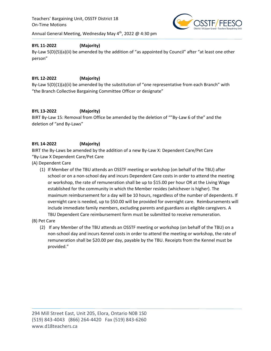

# **BYL 11-2022 (Majority)**

By-Law 5(D)(5)(a)(ii) be amended by the addition of "as appointed by Council" after "at least one other person"

# **BYL 12-2022 (Majority)**

By-Law 5(D)(1)(a)(ii) be amended by the substitution of "one representative from each Branch" with "the Branch Collective Bargaining Committee Officer or designate"

#### **BYL 13-2022 (Majority)**

BIRT By-Law 15: Removal from Office be amended by the deletion of ""By-Law 6 of the" and the deletion of "and By-Laws"

# **BYL 14-2022 (Majority)**

BIRT the By-Laws be amended by the addition of a new By-Law X: Dependent Care/Pet Care "By-Law X Dependent Care/Pet Care

- (A) Dependent Care
	- (1) If Member of the TBU attends an OSSTF meeting or workshop (on behalf of the TBU) after school or on a non-school day and incurs Dependent Care costs in order to attend the meeting or workshop, the rate of remuneration shall be up to \$15.00 per hour OR at the Living Wage established for the community in which the Member resides (whichever is higher). The maximum reimbursement for a day will be 10 hours, regardless of the number of dependents. If overnight care is needed, up to \$50.00 will be provided for overnight care. Reimbursements will include immediate family members, excluding parents and guardians as eligible caregivers. A TBU Dependent Care reimbursement form must be submitted to receive remuneration.
- (B) Pet Care
	- (2) If any Member of the TBU attends an OSSTF meeting or workshop (on behalf of the TBU) on a non-school day and incurs Kennel costs in order to attend the meeting or workshop, the rate of remuneration shall be \$20.00 per day, payable by the TBU. Receipts from the Kennel must be provided."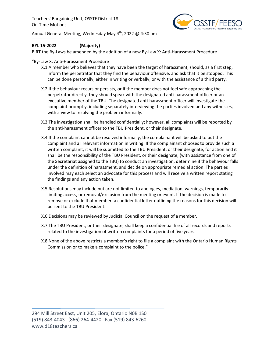

#### **BYL 15-2022 (Majority)**

BIRT the By-Laws be amended by the addition of a new By-Law X: Anti-Harassment Procedure

#### "By-Law X: Anti-Harassment Procedure

- X.1 A member who believes that they have been the target of harassment, should, as a first step, inform the perpetrator that they find the behaviour offensive, and ask that it be stopped. This can be done personally, either in writing or verbally, or with the assistance of a third party.
- X.2 If the behaviour recurs or persists, or if the member does not feel safe approaching the perpetrator directly, they should speak with the designated anti-harassment officer or an executive member of the TBU. The designated anti-harassment officer will investigate the complaint promptly, including separately interviewing the parties involved and any witnesses, with a view to resolving the problem informally.
- X.3 The investigation shall be handled confidentially; however, all complaints will be reported by the anti-harassment officer to the TBU President, or their designate.
- X.4 If the complaint cannot be resolved informally, the complainant will be asked to put the complaint and all relevant information in writing. If the complainant chooses to provide such a written complaint, it will be submitted to the TBU President, or their designate, for action and it shall be the responsibility of the TBU President, or their designate, (with assistance from one of the Secretariat assigned to the TBU) to conduct an investigation, determine if the behaviour falls under the definition of harassment, and decide on appropriate remedial action. The parties involved may each select an advocate for this process and will receive a written report stating the findings and any action taken.
- X.5 Resolutions may include but are not limited to apologies, mediation, warnings, temporarily limiting access, or removal/exclusion from the meeting or event. If the decision is made to remove or exclude that member, a confidential letter outlining the reasons for this decision will be sent to the TBU President.
- X.6 Decisions may be reviewed by Judicial Council on the request of a member.
- X.7 The TBU President, or their designate, shall keep a confidential file of all records and reports related to the investigation of written complaints for a period of five years.
- X.8 None of the above restricts a member's right to file a complaint with the Ontario Human Rights Commission or to make a complaint to the police."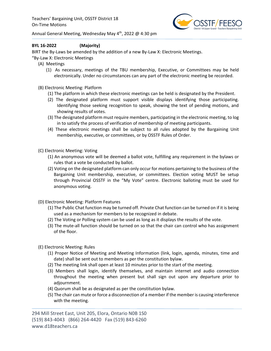

# **BYL 16-2022 (Majority)**

BIRT the By-Laws be amended by the addition of a new By-Law X: Electronic Meetings.

- "By-Law X: Electronic Meetings
	- (A) Meetings
		- (1) As necessary, meetings of the TBU membership, Executive, or Committees may be held electronically. Under no circumstances can any part of the electronic meeting be recorded.
	- (B) Electronic Meeting: Platform
		- (1) The platform in which these electronic meetings can be held is designated by the President.
		- (2) The designated platform must support visible displays identifying those participating. Identifying those seeking recognition to speak, showing the text of pending motions, and showing results of votes.
		- (3) The designated platform must require members, participating in the electronic meeting, to log in to satisfy the process of verification of membership of meeting participants.
		- (4) These electronic meetings shall be subject to all rules adopted by the Bargaining Unit membership, executive, or committees, or by OSSTF Rules of Order.
	- (C) Electronic Meeting: Voting
		- (1) An anonymous vote will be deemed a ballot vote, fulfilling any requirement in the bylaws or rules that a vote be conducted by ballot.
		- (2) Voting on the designated platform can only occur for motions pertaining to the business of the Bargaining Unit membership, executive, or committees. Election voting MUST be setup through Provincial OSSTF in the "My Vote" centre. Electronic balloting must be used for anonymous voting.
	- (D) Electronic Meeting: Platform Features
		- (1) The Public Chat function may be turned off. Private Chat function can be turned on if it is being used as a mechanism for members to be recognized in debate.
		- (2) The Voting or Polling system can be used as long as it displays the results of the vote.
		- (3) The mute-all function should be turned on so that the chair can control who has assignment of the floor.
	- (E) Electronic Meeting: Rules
		- (1) Proper Notice of Meeting and Meeting Information (link, login, agenda, minutes, time and date) shall be sent out to members as per the constitution bylaw.
		- (2) The meeting link shall open at least 10 minutes prior to the start of the meeting.
		- (3) Members shall login, identify themselves, and maintain internet and audio connection throughout the meeting when present but shall sign out upon any departure prior to adjournment.
		- (4) Quorum shall be as designated as per the constitution bylaw.
		- (5) The chair can mute or force a disconnection of a member if the member is causing interference with the meeting.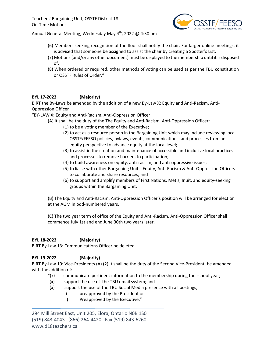

- (6) Members seeking recognition of the floor shall notify the chair. For larger online meetings, it is advised that someone be assigned to assist the chair by creating a Spotter's List.
- (7) Motions (and/or any other document) must be displayed to the membership until it is disposed of.
- (8) When ordered or required, other methods of voting can be used as per the TBU constitution or OSSTF Rules of Order."

# **BYL 17-2022 (Majority)**

BIRT the By-Laws be amended by the addition of a new By-Law X: Equity and Anti-Racism, Anti-Oppression Officer

"BY-LAW X: Equity and Anti-Racism, Anti-Oppression Officer

(A) It shall be the duty of the The Equity and Anti-Racism, Anti-Oppression Officer:

- (1) to be a voting member of the Executive;
- (2) to act as a resource person in the Bargaining Unit which may include reviewing local OSSTF/FEESO policies, bylaws, events, communications, and processes from an equity perspective to advance equity at the local level;
- (3) to assist in the creation and maintenance of accessible and inclusive local practices and processes to remove barriers to participation;
- (4) to build awareness on equity, anti-racism, and anti-oppressive issues;
- (5) to liaise with other Bargaining Units' Equity, Anti-Racism & Anti-Oppression Officers to collaborate and share resources; and
- (6) to support and amplify members of First Nations, Métis, Inuit, and equity-seeking groups within the Bargaining Unit.

(B) The Equity and Anti-Racism, Anti-Oppression Officer's position will be arranged for election at the AGM in odd-numbered years.

(C) The two year term of office of the Equity and Anti-Racism, Anti-Oppression Officer shall commence July 1st and end June 30th two years later.

# **BYL 18-2022 (Majority)**

BIRT By-Law 13: Communications Officer be deleted.

# **BYL 19-2022 (Majority)**

BIRT By-Law 19: Vice-Presidents (A) (2) It shall be the duty of the Second Vice-President: be amended with the addition of:

- " $(x)$  communicate pertinent information to the membership during the school year;
- (x) support the use of the TBU email system; and
- (x) support the use of the TBU Social Media presence with all postings;
	- i) preapproved by the President or
	- ii) Preapproved by the Executive."